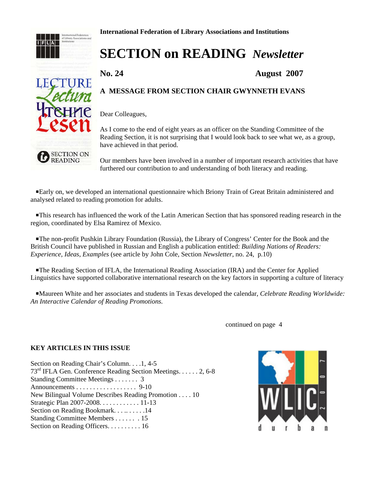

**International Federation of Library Associations and Institutions**

# **SECTION on READING** *Newsletter*

**No. 24 August 2007**

# **A MESSAGE FROM SECTION CHAIR GWYNNETH EVANS**

Dear Colleagues,

As I come to the end of eight years as an officer on the Standing Committee of the Reading Section, it is not surprising that I would look back to see what we, as a group, have achieved in that period.

Our members have been involved in a number of important research activities that have furthered our contribution to and understanding of both literacy and reading.

 PEarly on, we developed an international questionnaire which Briony Train of Great Britain administered and analysed related to reading promotion for adults.

 PThis research has influenced the work of the Latin American Section that has sponsored reading research in the region, coordinated by Elsa Ramirez of Mexico.

 PThe non-profit Pushkin Library Foundation (Russia), the Library of Congress' Center for the Book and the British Council have published in Russian and English a publication entitled: *Building Nations of Readers: Experience, Ideas, Examples* (see article by John Cole, Section *Newsletter*, no. 24, p.10)

 PThe Reading Section of IFLA, the International Reading Association (IRA) and the Center for Applied Linguistics have supported collaborative international research on the key factors in supporting a culture of literacy

 PMaureen White and her associates and students in Texas developed the calendar, *Celebrate Reading Worldwide: An Interactive Calendar of Reading Promotions.*

continued on page 4

#### **KEY ARTICLES IN THIS ISSUE**

Section on Reading Chair's Column. . . .1, 4-5 73rd IFLA Gen. Conference Reading Section Meetings. . . . . . 2, 6-8 Standing Committee Meetings . . . . . . . 3 Announcements . . . . . . . . . . . . . . . . . . 9-10 New Bilingual Volume Describes Reading Promotion . . . . 10 Strategic Plan 2007-2008. . . . . . . . . . . . 11-13 Section on Reading Bookmark. . . .. . . . . .14 Standing Committee Members . . . . . . . 15 Section on Reading Officers. . . . . . . . . . 16



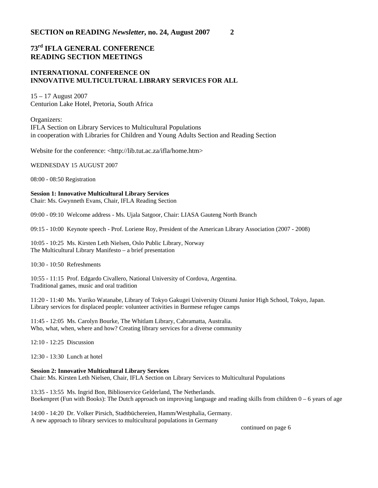# **73rd IFLA GENERAL CONFERENCE READING SECTION MEETINGS**

#### **INTERNATIONAL CONFERENCE ON INNOVATIVE MULTICULTURAL LIBRARY SERVICES FOR ALL**

15 – 17 August 2007 Centurion Lake Hotel, Pretoria, South Africa

Organizers: IFLA Section on Library Services to Multicultural Populations in cooperation with Libraries for Children and Young Adults Section and Reading Section

Website for the conference: <http://lib.tut.ac.za/ifla/home.htm>

WEDNESDAY 15 AUGUST 2007

08:00 - 08:50 Registration

**Session 1: Innovative Multicultural Library Services**  Chair: Ms. Gwynneth Evans, Chair, IFLA Reading Section

09:00 - 09:10 Welcome address - Ms. Ujala Satgoor, Chair: LIASA Gauteng North Branch

09:15 - 10:00 Keynote speech - Prof. Loriene Roy, President of the American Library Association (2007 - 2008)

10:05 - 10:25 Ms. Kirsten Leth Nielsen, Oslo Public Library, Norway The Multicultural Library Manifesto – a brief presentation

10:30 - 10:50 Refreshments

10:55 - 11:15 Prof. Edgardo Civallero, National University of Cordova, Argentina. Traditional games, music and oral tradition

11:20 - 11:40 Ms. Yuriko Watanabe, Library of Tokyo Gakugei University Oizumi Junior High School, Tokyo, Japan. Library services for displaced people: volunteer activities in Burmese refugee camps

11:45 - 12:05 Ms. Carolyn Bourke, The Whitlam Library, Cabramatta, Australia. Who, what, when, where and how? Creating library services for a diverse community

12:10 - 12:25 Discussion

12:30 - 13:30 Lunch at hotel

#### **Session 2: Innovative Multicultural Library Services**

Chair: Ms. Kirsten Leth Nielsen, Chair, IFLA Section on Library Services to Multicultural Populations

13:35 - 13:55 Ms. Ingrid Bon, Biblioservice Gelderland, The Netherlands. Boekenpret (Fun with Books): The Dutch approach on improving language and reading skills from children 0 – 6 years of age

14:00 - 14:20 Dr. Volker Pirsich, Stadtbüchereien, Hamm/Westphalia, Germany. A new approach to library services to multicultural populations in Germany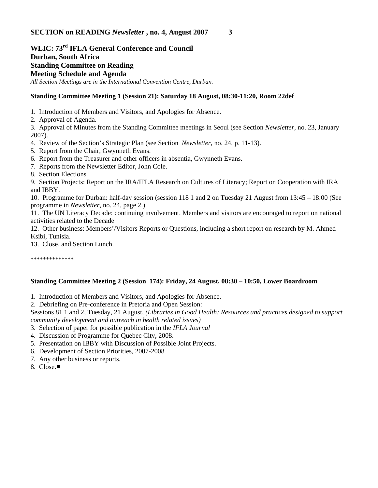# **WLIC: 73rd IFLA General Conference and Council Durban, South Africa Standing Committee on Reading Meeting Schedule and Agenda** *All Section Meetings are in the International Convention Centre, Durban.*

#### **Standing Committee Meeting 1 (Session 21): Saturday 18 August, 08:30-11:20, Room 22def**

1. Introduction of Members and Visitors, and Apologies for Absence.

2. Approval of Agenda.

3. Approval of Minutes from the Standing Committee meetings in Seoul (see Section *Newsletter*, no. 23, January 2007).

4. Review of the Section's Strategic Plan (see Section *Newsletter*, no. 24, p. 11-13).

- 5. Report from the Chair, Gwynneth Evans.
- 6. Report from the Treasurer and other officers in absentia, Gwynneth Evans.
- 7. Reports from the Newsletter Editor, John Cole.
- 8. Section Elections

9. Section Projects: Report on the IRA/IFLA Research on Cultures of Literacy; Report on Cooperation with IRA and IBBY.

10. Programme for Durban: half-day session (session 118 1 and 2 on Tuesday 21 August from 13:45 – 18:00 (See programme in *Newsletter*, no. 24, page 2.)

11. The UN Literacy Decade: continuing involvement. Members and visitors are encouraged to report on national activities related to the Decade

12. Other business: Members'/Visitors Reports or Questions, including a short report on research by M. Ahmed Ksibi, Tunisia.

13. Close, and Section Lunch.

\*\*\*\*\*\*\*\*\*\*\*\*\*\*

# **Standing Committee Meeting 2 (Session 174): Friday, 24 August, 08:30 – 10:50, Lower Boardroom**

1. Introduction of Members and Visitors, and Apologies for Absence.

2. Debriefing on Pre-conference in Pretoria and Open Session:

Sessions 81 1 and 2, Tuesday, 21 August, *(Libraries in Good Health: Resources and practices designed to support community development and outreach in health related issues)*

- 3. Selection of paper for possible publication in the *IFLA Journal*
- 4. Discussion of Programme for Quebec City, 2008.
- 5. Presentation on IBBY with Discussion of Possible Joint Projects.
- 6. Development of Section Priorities, 2007-2008
- 7. Any other business or reports.
- 8. Close.■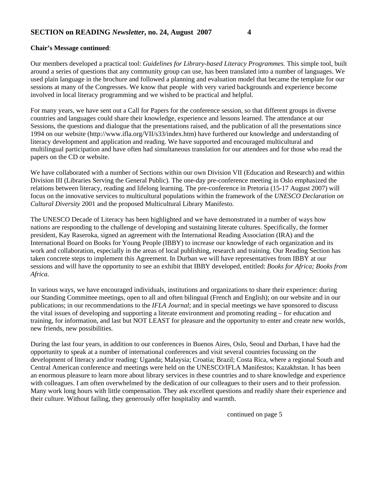#### **Chair's Message continued**:

Our members developed a practical tool: *Guidelines for Library-based Literacy Programmes.* This simple tool, built around a series of questions that any community group can use, has been translated into a number of languages. We used plain language in the brochure and followed a planning and evaluation model that became the template for our sessions at many of the Congresses. We know that people with very varied backgrounds and experience become involved in local literacy programming and we wished to be practical and helpful.

For many years, we have sent out a Call for Papers for the conference session, so that different groups in diverse countries and languages could share their knowledge, experience and lessons learned. The attendance at our Sessions, the questions and dialogue that the presentations raised, and the publication of all the presentations since 1994 on our website (http://www.ifla.org/VII/s33/index.htm) have furthered our knowledge and understanding of literacy development and application and reading. We have supported and encouraged multicultural and multilingual participation and have often had simultaneous translation for our attendees and for those who read the papers on the CD or website.

We have collaborated with a number of Sections within our own Division VII (Education and Research) and within Division III (Libraries Serving the General Public). The one-day pre-conference meeting in Oslo emphasized the relations between literacy, reading and lifelong learning. The pre-conference in Pretoria (15-17 August 2007) will focus on the innovative services to multicultural populations within the framework of the *UNESCO Declaration on Cultural Diversity* 2001 and the proposed Multicultural Library Manifesto.

The UNESCO Decade of Literacy has been highlighted and we have demonstrated in a number of ways how nations are responding to the challenge of developing and sustaining literate cultures. Specifically, the former president, Kay Raseroka, signed an agreement with the International Reading Association (IRA) and the International Board on Books for Young People (IBBY) to increase our knowledge of each organization and its work and collaboration, especially in the areas of local publishing, research and training. Our Reading Section has taken concrete steps to implement this Agreement. In Durban we will have representatives from IBBY at our sessions and will have the opportunity to see an exhibit that IBBY developed, entitled: *Books for Africa; Books from Africa.*

In various ways, we have encouraged individuals, institutions and organizations to share their experience: during our Standing Committee meetings, open to all and often bilingual (French and English); on our website and in our publications; in our recommendations to the *IFLA Journal*; and in special meetings we have sponsored to discuss the vital issues of developing and supporting a literate environment and promoting reading – for education and training, for information, and last but NOT LEAST for pleasure and the opportunity to enter and create new worlds, new friends, new possibilities.

During the last four years, in addition to our conferences in Buenos Aires, Oslo, Seoul and Durban, I have had the opportunity to speak at a number of international conferences and visit several countries focussing on the development of literacy and/or reading: Uganda; Malaysia; Croatia; Brazil; Costa Rica, where a regional South and Central American conference and meetings were held on the UNESCO/IFLA Manifestos; Kazakhstan. It has been an enormous pleasure to learn more about library services in these countries and to share knowledge and experience with colleagues. I am often overwhelmed by the dedication of our colleagues to their users and to their profession. Many work long hours with little compensation. They ask excellent questions and readily share their experience and their culture. Without failing, they generously offer hospitality and warmth.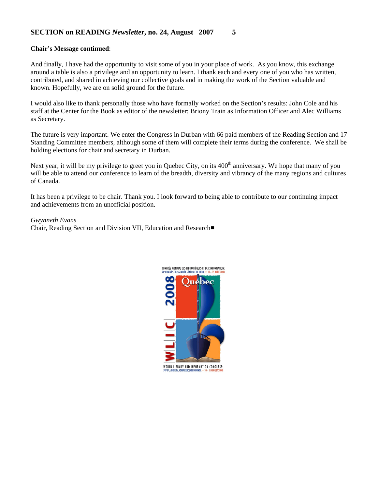#### **Chair's Message continued**:

And finally, I have had the opportunity to visit some of you in your place of work. As you know, this exchange around a table is also a privilege and an opportunity to learn. I thank each and every one of you who has written, contributed, and shared in achieving our collective goals and in making the work of the Section valuable and known. Hopefully, we are on solid ground for the future.

I would also like to thank personally those who have formally worked on the Section's results: John Cole and his staff at the Center for the Book as editor of the newsletter; Briony Train as Information Officer and Alec Williams as Secretary.

The future is very important. We enter the Congress in Durban with 66 paid members of the Reading Section and 17 Standing Committee members, although some of them will complete their terms during the conference. We shall be holding elections for chair and secretary in Durban.

Next year, it will be my privilege to greet you in Quebec City, on its 400<sup>th</sup> anniversary. We hope that many of you will be able to attend our conference to learn of the breadth, diversity and vibrancy of the many regions and cultures of Canada.

It has been a privilege to be chair. Thank you. I look forward to being able to contribute to our continuing impact and achievements from an unofficial position.

#### *Gwynneth Evans*

Chair, Reading Section and Division VII, Education and Research■

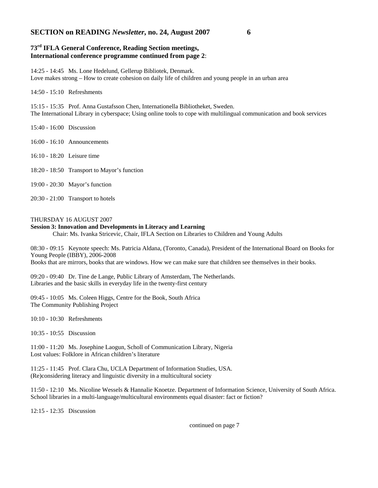#### **73rd IFLA General Conference, Reading Section meetings, International conference programme continued from page 2**:

14:25 - 14:45 Ms. Lone Hedelund, Gellerup Bibliotek, Denmark. Love makes strong – How to create cohesion on daily life of children and young people in an urban area

14:50 - 15:10 Refreshments

15:15 - 15:35 Prof. Anna Gustafsson Chen, Internationella Bibliotheket, Sweden. The International Library in cyberspace; Using online tools to cope with multilingual communication and book services

15:40 - 16:00 Discussion

16:00 - 16:10 Announcements

16:10 - 18:20 Leisure time

18:20 - 18:50 Transport to Mayor's function

19:00 - 20:30 Mayor's function

20:30 - 21:00 Transport to hotels

#### THURSDAY 16 AUGUST 2007

#### **Session 3: Innovation and Developments in Literacy and Learning**

Chair: Ms. Ivanka Stricevic, Chair, IFLA Section on Libraries to Children and Young Adults

08:30 - 09:15 Keynote speech: Ms. Patricia Aldana, (Toronto, Canada), President of the International Board on Books for Young People (IBBY), 2006-2008

Books that are mirrors, books that are windows. How we can make sure that children see themselves in their books.

09:20 - 09:40 Dr. Tine de Lange, Public Library of Amsterdam, The Netherlands. Libraries and the basic skills in everyday life in the twenty-first century

09:45 - 10:05 Ms. Coleen Higgs, Centre for the Book, South Africa The Community Publishing Project

10:10 - 10:30 Refreshments

10:35 - 10:55 Discussion

11:00 - 11:20 Ms. Josephine Laogun, Scholl of Communication Library, Nigeria Lost values: Folklore in African children's literature

11:25 - 11:45 Prof. Clara Chu, UCLA Department of Information Studies, USA. (Re)considering literacy and linguistic diversity in a multicultural society

11:50 - 12:10 Ms. Nicoline Wessels & Hannalie Knoetze. Department of Information Science, University of South Africa. School libraries in a multi-language/multicultural environments equal disaster: fact or fiction?

12:15 - 12:35 Discussion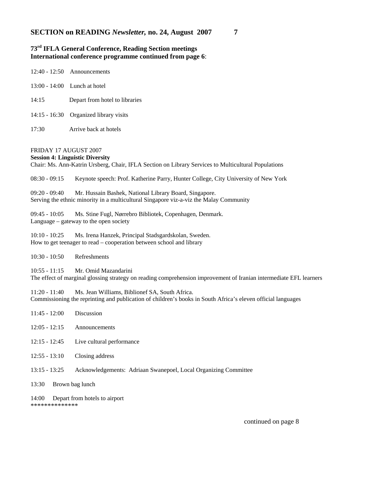## **73rd IFLA General Conference, Reading Section meetings International conference programme continued from page 6**:

|       | $12:40 - 12:50$ Announcements          |
|-------|----------------------------------------|
|       | 13:00 - 14:00 Lunch at hotel           |
| 14:15 | Depart from hotel to libraries         |
|       | 14:15 - 16:30 Organized library visits |
| 17:30 | Arrive back at hotels                  |

#### FRIDAY 17 AUGUST 2007

#### **Session 4: Linguistic Diversity**

Chair: Ms. Ann-Katrin Ursberg, Chair, IFLA Section on Library Services to Multicultural Populations

08:30 - 09:15 Keynote speech: Prof. Katherine Parry, Hunter College, City University of New York

09:20 - 09:40 Mr. Hussain Bashek, National Library Board, Singapore. Serving the ethnic minority in a multicultural Singapore viz-a-viz the Malay Community

09:45 - 10:05 Ms. Stine Fugl, Nørrebro Bibliotek, Copenhagen, Denmark. Language – gateway to the open society

10:10 - 10:25 Ms. Irena Hanzek, Principal Stadsgardskolan, Sweden. How to get teenager to read – cooperation between school and library

10:30 - 10:50 Refreshments

\*\*\*\*\*\*\*\*\*\*\*\*\*\*

10:55 - 11:15 Mr. Omid Mazandarini

The effect of marginal glossing strategy on reading comprehension improvement of Iranian intermediate EFL learners

11:20 - 11:40 Ms. Jean Williams, Biblionef SA, South Africa. Commissioning the reprinting and publication of children's books in South Africa's eleven official languages

11:45 - 12:00 Discussion 12:05 - 12:15 Announcements 12:15 - 12:45 Live cultural performance 12:55 - 13:10 Closing address 13:15 - 13:25 Acknowledgements: Adriaan Swanepoel, Local Organizing Committee 13:30 Brown bag lunch 14:00 Depart from hotels to airport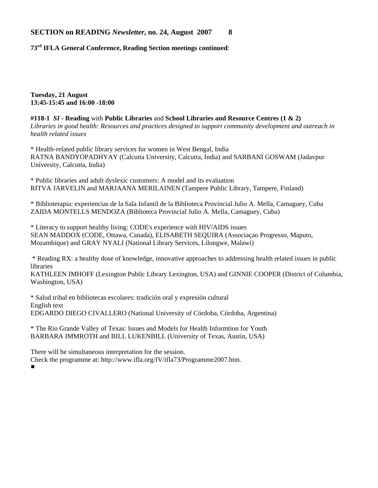**73rd IFLA General Conference, Reading Section meetings continued**:

**Tuesday, 21 August 13:45-15:45 and 16:00 -18:00** 

**#118-1** *SI* **- Reading** with **Public Libraries** and **School Libraries and Resource Centres (1 & 2)**  *Libraries in good health: Resources and practices designed to support community development and outreach in health related issues*

\* Health-related public library services for women in West Bengal, India RATNA BANDYOPADHYAY (Calcutta University, Calcutta, India) and SARBANI GOSWAM (Jadavpur University, Calcutta, India)

\* Public libraries and adult dyslexic customers: A model and its evaluation RITVA JARVELIN and MARJAANA MERILAINEN (Tampere Public Library, Tampere, Finland)

\* Biblioterapia: experiencias de la Sala Infantil de la Biblioteca Provincial Julio A. Mella, Camaguey, Cuba ZAIDA MONTELLS MENDOZA (Biblioteca Provincial Julio A. Mella, Camaguey, Cuba)

\* Literacy to support healthy living: CODE's experience with HIV/AIDS issues SEAN MADDOX (CODE, Ottawa, Canada), ELISABETH SEQUIRA (Associaçao Progresso, Maputo, Mozambique) and GRAY NYALI (National Library Services, Lilongwe, Malawi)

 \* Reading RX: a healthy dose of knowledge, innovative approaches to addressing health related issues in public libraries

KATHLEEN IMHOFF (Lexington Public Library Lexington, USA) and GINNIE COOPER (District of Columbia, Washington, USA)

\* Salud tribal en bibliotecas escolares: tradición oral y expresión cultural English text EDGARDO DIEGO CIVALLERO (National University of Córdoba, Córdoba, Argentina)

\* The Rio Grande Valley of Texas: Issues and Models for Health Informtion for Youth BARBARA IMMROTH and BILL LUKENBILL (University of Texas, Austin, USA)

There will be simultaneous interpretation for the session. Check the programme at: http://www.ifla.org/IV/ifla73/Programme2007.htm.

#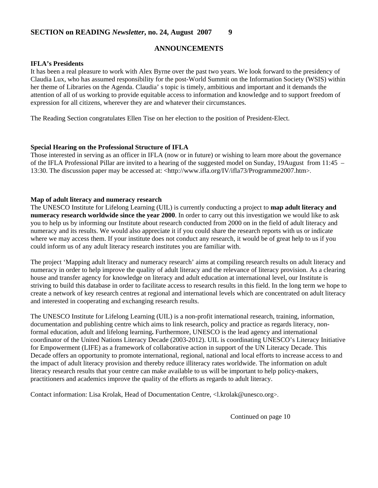# **ANNOUNCEMENTS**

#### **IFLA's Presidents**

It has been a real pleasure to work with Alex Byrne over the past two years. We look forward to the presidency of Claudia Lux, who has assumed responsibility for the post-World Summit on the Information Society (WSIS) within her theme of Libraries on the Agenda. Claudia' s topic is timely, ambitious and important and it demands the attention of all of us working to provide equitable access to information and knowledge and to support freedom of expression for all citizens, wherever they are and whatever their circumstances.

The Reading Section congratulates Ellen Tise on her election to the position of President-Elect.

#### **Special Hearing on the Professional Structure of IFLA**

Those interested in serving as an officer in IFLA (now or in future) or wishing to learn more about the governance of the IFLA Professional Pillar are invited to a hearing of the suggested model on Sunday, 19August from 11:45 – 13:30. The discussion paper may be accessed at: <http://www.ifla.org/IV/ifla73/Programme2007.htm>.

#### **Map of adult literacy and numeracy research**

The UNESCO Institute for Lifelong Learning (UIL) is currently conducting a project to **map adult literacy and numeracy research worldwide since the year 2000**. In order to carry out this investigation we would like to ask you to help us by informing our Institute about research conducted from 2000 on in the field of adult literacy and numeracy and its results. We would also appreciate it if you could share the research reports with us or indicate where we may access them. If your institute does not conduct any research, it would be of great help to us if you could inform us of any adult literacy research institutes you are familiar with.

The project 'Mapping adult literacy and numeracy research' aims at compiling research results on adult literacy and numeracy in order to help improve the quality of adult literacy and the relevance of literacy provision. As a clearing house and transfer agency for knowledge on literacy and adult education at international level, our Institute is striving to build this database in order to facilitate access to research results in this field. In the long term we hope to create a network of key research centres at regional and international levels which are concentrated on adult literacy and interested in cooperating and exchanging research results.

The UNESCO Institute for Lifelong Learning (UIL) is a non-profit international research, training, information, documentation and publishing centre which aims to link research, policy and practice as regards literacy, nonformal education, adult and lifelong learning**.** Furthermore, UNESCO is the lead agency and international coordinator of the United Nations Literacy Decade (2003-2012). UIL is coordinating UNESCO's Literacy Initiative for Empowerment (LIFE) as a framework of collaborative action in support of the UN Literacy Decade. This Decade offers an opportunity to promote international, regional, national and local efforts to increase access to and the impact of adult literacy provision and thereby reduce illiteracy rates worldwide. The information on adult literacy research results that your centre can make available to us will be important to help policy-makers, practitioners and academics improve the quality of the efforts as regards to adult literacy.

Contact information: Lisa Krolak, Head of Documentation Centre, <l.krolak@unesco.org>.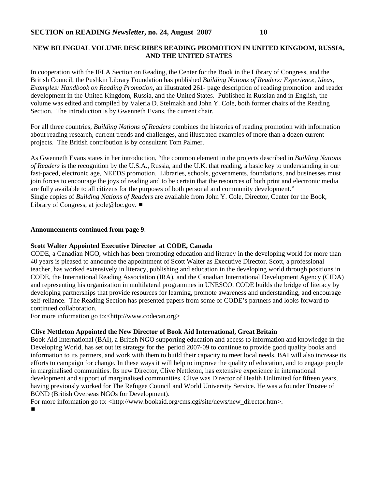# **NEW BILINGUAL VOLUME DESCRIBES READING PROMOTION IN UNITED KINGDOM, RUSSIA, AND THE UNITED STATES**

In cooperation with the IFLA Section on Reading, the Center for the Book in the Library of Congress, and the British Council, the Pushkin Library Foundation has published *Building Nations of Readers: Experience, Ideas, Examples: Handbook on Reading Promotion*, an illustrated 261- page description of reading promotion and reader development in the United Kingdom, Russia, and the United States. Published in Russian and in English, the volume was edited and compiled by Valeria D. Stelmakh and John Y. Cole, both former chairs of the Reading Section. The introduction is by Gwenneth Evans, the current chair.

For all three countries, *Building Nations of Readers* combines the histories of reading promotion with information about reading research, current trends and challenges, and illustrated examples of more than a dozen current projects. The British contribution is by consultant Tom Palmer.

As Gwenneth Evans states in her introduction, "the common element in the projects described in *Building Nations of Readers* is the recognition by the U.S.A., Russia, and the U.K. that reading, a basic key to understanding in our fast-paced, electronic age, NEEDS promotion. Libraries, schools, governments, foundations, and businesses must join forces to encourage the joys of reading and to be certain that the resources of both print and electronic media are fully available to all citizens for the purposes of both personal and community development." Single copies of *Building Nations of Readers* are available from John Y. Cole, Director, Center for the Book, Library of Congress, at  $\text{icole@loc.gov.}$ 

#### **Announcements continued from page 9**:

#### **Scott Walter Appointed Executive Director at CODE, Canada**

CODE, a Canadian NGO, which has been promoting education and literacy in the developing world for more than 40 years is pleased to announce the appointment of Scott Walter as Executive Director. Scott, a professional teacher, has worked extensively in literacy, publishing and education in the developing world through positions in CODE, the International Reading Association (IRA), and the Canadian International Development Agency (CIDA) and representing his organization in multilateral programmes in UNESCO. CODE builds the bridge of literacy by developing partnerships that provide resources for learning, promote awareness and understanding, and encourage self-reliance. The Reading Section has presented papers from some of CODE's partners and looks forward to continued collaboration.

For more information go to:<http://www.codecan.org>

#### **Clive Nettleton Appointed the New Director of Book Aid International, Great Britain**

Book Aid International (BAI), a British NGO supporting education and access to information and knowledge in the Developing World, has set out its strategy for the period 2007-09 to continue to provide good quality books and information to its partners, and work with them to build their capacity to meet local needs. BAI will also increase its efforts to campaign for change. In these ways it will help to improve the quality of education, and to engage people in marginalised communities. Its new Director, Clive Nettleton, has extensive experience in international development and support of marginalised communities. Clive was Director of Health Unlimited for fifteen years, having previously worked for The Refugee Council and World University Service. He was a founder Trustee of BOND (British Overseas NGOs for Development).

For more information go to: <http://www.bookaid.org/cms.cgi/site/news/new\_director.htm>.

#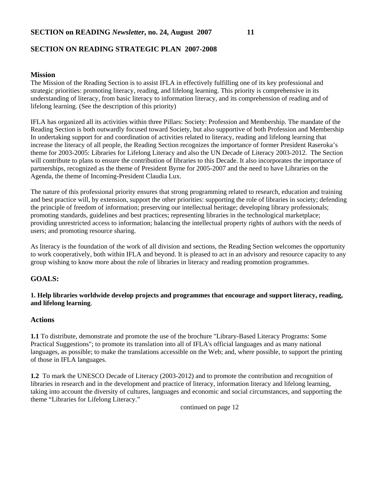# **SECTION ON READING STRATEGIC PLAN 2007-2008**

#### **Mission**

The Mission of the Reading Section is to assist IFLA in effectively fulfilling one of its key professional and strategic priorities: promoting literacy, reading, and lifelong learning. This priority is comprehensive in its understanding of literacy, from basic literacy to information literacy, and its comprehension of reading and of lifelong learning. (See the description of this priority)

IFLA has organized all its activities within three Pillars: Society: Profession and Membership. The mandate of the Reading Section is both outwardly focused toward Society, but also supportive of both Profession and Membership In undertaking support for and coordination of activities related to literacy, reading and lifelong learning that increase the literacy of all people, the Reading Section recognizes the importance of former President Raseroka's theme for 2003-2005: Libraries for Lifelong Literacy and also the UN Decade of Literacy 2003-2012. The Section will contribute to plans to ensure the contribution of libraries to this Decade. It also incorporates the importance of partnerships, recognized as the theme of President Byrne for 2005-2007 and the need to have Libraries on the Agenda, the theme of Incoming-President Claudia Lux.

The nature of this professional priority ensures that strong programming related to research, education and training and best practice will, by extension, support the other priorities: supporting the role of libraries in society; defending the principle of freedom of information; preserving our intellectual heritage; developing library professionals; promoting standards, guidelines and best practices; representing libraries in the technological marketplace; providing unrestricted access to information; balancing the intellectual property rights of authors with the needs of users; and promoting resource sharing.

As literacy is the foundation of the work of all division and sections, the Reading Section welcomes the opportunity to work cooperatively, both within IFLA and beyond. It is pleased to act in an advisory and resource capacity to any group wishing to know more about the role of libraries in literacy and reading promotion programmes.

# **GOALS:**

#### **1. Help libraries worldwide develop projects and programmes that encourage and support literacy, reading, and lifelong learning**.

#### **Actions**

**1.1** To distribute, demonstrate and promote the use of the brochure "Library-Based Literacy Programs: Some Practical Suggestions"; to promote its translation into all of IFLA's official languages and as many national languages, as possible; to make the translations accessible on the Web; and, where possible, to support the printing of those in IFLA languages.

**1.2** To mark the UNESCO Decade of Literacy (2003-2012) and to promote the contribution and recognition of libraries in research and in the development and practice of literacy, information literacy and lifelong learning, taking into account the diversity of cultures, languages and economic and social circumstances, and supporting the theme "Libraries for Lifelong Literacy."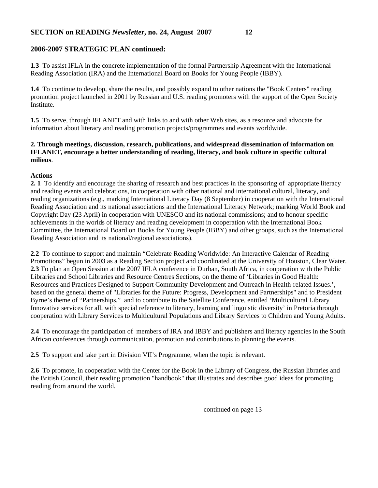#### **2006-2007 STRATEGIC PLAN continued:**

**1.3** To assist IFLA in the concrete implementation of the formal Partnership Agreement with the International Reading Association (IRA) and the International Board on Books for Young People (IBBY).

**1.4** To continue to develop, share the results, and possibly expand to other nations the "Book Centers" reading promotion project launched in 2001 by Russian and U.S. reading promoters with the support of the Open Society Institute.

**1.5** To serve, through IFLANET and with links to and with other Web sites, as a resource and advocate for information about literacy and reading promotion projects/programmes and events worldwide.

### **2. Through meetings, discussion, research, publications, and widespread dissemination of information on IFLANET, encourage a better understanding of reading, literacy, and book culture in specific cultural milieus**.

#### **Actions**

**2. 1** To identify and encourage the sharing of research and best practices in the sponsoring of appropriate literacy and reading events and celebrations, in cooperation with other national and international cultural, literacy, and reading organizations (e.g., marking International Literacy Day (8 September) in cooperation with the International Reading Association and its national associations and the International Literacy Network; marking World Book and Copyright Day (23 April) in cooperation with UNESCO and its national commissions; and to honour specific achievements in the worlds of literacy and reading development in cooperation with the International Book Committee, the International Board on Books for Young People (IBBY) and other groups, such as the International Reading Association and its national/regional associations).

**2.2** To continue to support and maintain "Celebrate Reading Worldwide: An Interactive Calendar of Reading Promotions" begun in 2003 as a Reading Section project and coordinated at the University of Houston, Clear Water. **2.3** To plan an Open Session at the 2007 IFLA conference in Durban, South Africa, in cooperation with the Public Libraries and School Libraries and Resource Centres Sections, on the theme of 'Libraries in Good Health: Resources and Practices Designed to Support Community Development and Outreach in Health-related Issues.', based on the general theme of "Libraries for the Future: Progress, Development and Partnerships" and to President Byrne's theme of "Partnerships," and to contribute to the Satellite Conference, entitled 'Multicultural Library Innovative services for all, with special reference to literacy, learning and linguistic diversity' in Pretoria through cooperation with Library Services to Multicultural Populations and Library Services to Children and Young Adults.

**2.4** To encourage the participation of members of IRA and IBBY and publishers and literacy agencies in the South African conferences through communication, promotion and contributions to planning the events.

**2.5** To support and take part in Division VII's Programme, when the topic is relevant.

**2.6** To promote, in cooperation with the Center for the Book in the Library of Congress, the Russian libraries and the British Council, their reading promotion "handbook" that illustrates and describes good ideas for promoting reading from around the world.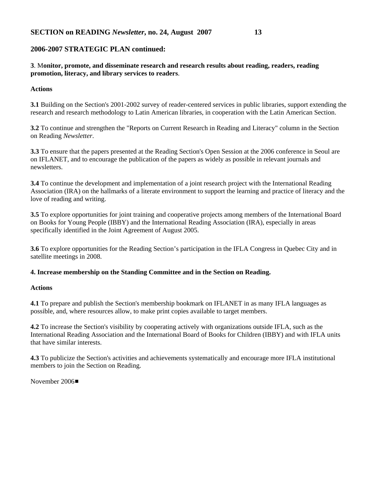#### **2006-2007 STRATEGIC PLAN continued:**

**3**. M**onitor, promote, and disseminate research and research results about reading, readers, reading promotion, literacy, and library services to readers**.

#### **Actions**

**3.1** Building on the Section's 2001-2002 survey of reader-centered services in public libraries, support extending the research and research methodology to Latin American libraries, in cooperation with the Latin American Section.

**3.2** To continue and strengthen the "Reports on Current Research in Reading and Literacy" column in the Section on Reading *Newsletter*.

**3.3** To ensure that the papers presented at the Reading Section's Open Session at the 2006 conference in Seoul are on IFLANET, and to encourage the publication of the papers as widely as possible in relevant journals and newsletters.

**3.4** To continue the development and implementation of a joint research project with the International Reading Association (IRA) on the hallmarks of a literate environment to support the learning and practice of literacy and the love of reading and writing.

**3.5** To explore opportunities for joint training and cooperative projects among members of the International Board on Books for Young People (IBBY) and the International Reading Association (IRA), especially in areas specifically identified in the Joint Agreement of August 2005.

**3.6** To explore opportunities for the Reading Section's participation in the IFLA Congress in Quebec City and in satellite meetings in 2008.

#### **4. Increase membership on the Standing Committee and in the Section on Reading.**

#### **Actions**

**4.1** To prepare and publish the Section's membership bookmark on IFLANET in as many IFLA languages as possible, and, where resources allow, to make print copies available to target members.

**4.2** To increase the Section's visibility by cooperating actively with organizations outside IFLA, such as the International Reading Association and the International Board of Books for Children (IBBY) and with IFLA units that have similar interests.

**4.3** To publicize the Section's activities and achievements systematically and encourage more IFLA institutional members to join the Section on Reading.

November 2006■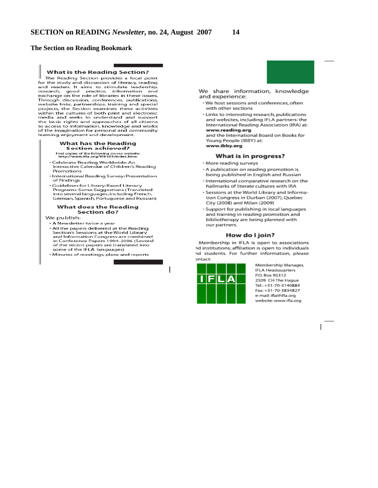#### **The Section on Reading Bookmark**

#### What is the Reading Section?

The Reading Section provides a focal point for the study and discussion of literacy, reading<br>and readers. It aims to stimulate leadership,<br>research, good practice, information and exchange on the role of libraries in these issues. Through discussion, conferences, publications, website links, partnerships, training and special projects, the Section examines these activities<br>within the cultures of both print and electronic<br>media and seeks to understand and support the basic rights and approaches of all citizens to access to information, knowledge and works of the imagination for personal and community learning, enjoyment and development.

#### What has the Reading Section achieved?

Find copies of the following on our website:<br>http://www.ifla.org/VII/s33/index.htm:

- Celebrate Reading Worldwide: An Interactive Calendar of Children's Reading Promotions
- · International Reading Survey: Presentation of Findings
- · Guidelines for Library-Based Literacy Programs: Some Suggestions (Translated<br>into several languages, including French, German, Spanish, Portuguese and Russian)

#### What does the Reading Section do?

We publish:

- A Newsletter twice a year • All the papers delivered at the Reading Section's Sessions at the World Library<br>and Information Congress are combined<br>in Conference Papers 1994-2006 (Several of the recent papers are translated into some of the IFLA languages)
- Minutes of meetings, plans and reports

We share information, knowledge and experience:

- · We host sessions and conferences, often with other sections
- · Links to interesting research, publications and websites, including IFLA partners: the International Reading Association (IRA) at: www.reading.org

and the International Board on Books for Young People (IBBY) at: www.ibby.org

#### What is in progress?

- · More reading surveys
- · A publication on reading promotion is being published in English and Russian
- · International comparative research on the hallmarks of literate cultures with IRA
- · Sessions at the World Library and Information Congress in Durban (2007), Quebec City (2008) and Milan (2009)
- · Support for publishing in local languages and training in reading promotion and bibliotherapy are being planned with our partners.

#### How do I join?

Membership in IFLA is open to associations nd institutions; affiliation is open to individuals nd students. For further information, please ontact:



 $\overline{1}$ 

Membership Manager, **IFLA Headquarters** P.O. Box 95312 2509 CH The Haque Tel.: +31-70-3140884 Fax: +31-70-3834827 e-mail: ifla@ifla.org website: www.ifla.org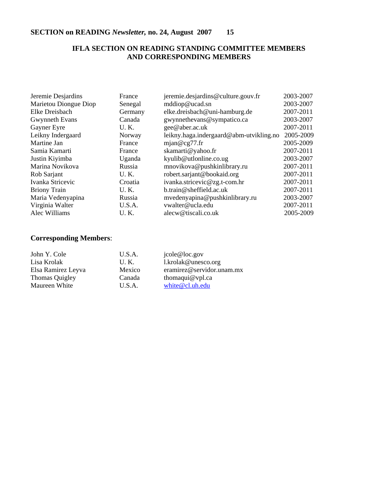# **IFLA SECTION ON READING STANDING COMMITTEE MEMBERS AND CORRESPONDING MEMBERS**

| Jeremie Desjardins    | France      | jeremie.desjardins@culture.gouv.fr      | 2003-2007 |
|-----------------------|-------------|-----------------------------------------|-----------|
| Marietou Diongue Diop | Senegal     | mddiop@ucad.sn                          | 2003-2007 |
| Elke Dreisbach        | Germany     | elke.dreisbach@uni-hamburg.de           | 2007-2011 |
| Gwynneth Evans        | Canada      | gwynnethevans@sympatico.ca              | 2003-2007 |
| Gayner Eyre           | U.K.        | gee@aber.ac.uk                          | 2007-2011 |
| Leikny Indergaard     | Norway      | leikny.haga.indergaard@abm-utvikling.no | 2005-2009 |
| Martine Jan           | France      | mjan@cg77.fr                            | 2005-2009 |
| Samia Kamarti         | France      | skamarti@yahoo.fr                       | 2007-2011 |
| Justin Kiyimba        | Uganda      | kyulib@utlonline.co.ug                  | 2003-2007 |
| Marina Novikova       | Russia      | mnovikova@pushkinlibrary.ru             | 2007-2011 |
| Rob Sarjant           | U.K.        | robert.sarjant@bookaid.org              | 2007-2011 |
| Ivanka Stricevic      | Croatia     | ivanka.stricevic@zg.t-com.hr            | 2007-2011 |
| <b>Briony Train</b>   | U.K.        | b.train@sheffield.ac.uk                 | 2007-2011 |
| Maria Vedenyapina     | Russia      | mvedenyapina@pushkinlibrary.ru          | 2003-2007 |
| Virginia Walter       | U.S.A.      | vwalter@ucla.edu                        | 2007-2011 |
| Alec Williams         | <b>U.K.</b> | alecw@tiscali.co.uk                     | 2005-2009 |

# **Corresponding Members**:

| John Y. Cole       | U.S.A. | jcole@loc.gov             |
|--------------------|--------|---------------------------|
| Lisa Krolak        | U.K.   | 1.krolak@unesco.org       |
| Elsa Ramirez Leyva | Mexico | eramirez@servidor.unam.mx |
| Thomas Quigley     | Canada | thomaqui $@$ vpl.ca       |
| Maureen White      | U.S.A. | white@cl.uh.edu           |